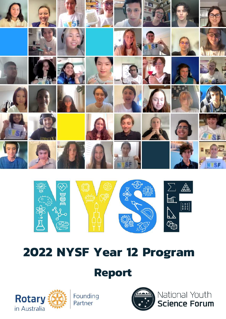



# **2022 NYSF Year 12 Program**

## **Report**



Founding Partner



National Youth **Science Forum**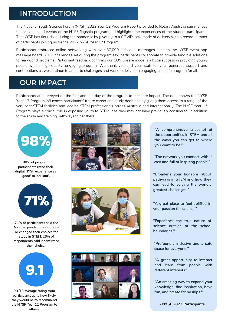#### INTRODUCTION

The National Youth Science Forum (NYSF) 2022 Year 12 Program Report provided to Rotary Australia summarises the activities and events of the NYSF flagship program and highlights the experiences of the student participants. The NYSF has flourished during the pandemic by pivoting to a COVID-safe mode of delivery with a record number of participants joining us for the 2022 NYSF Year 12 Program.

Participants embraced online networking with over 37,000 individual messages sent on the NYSF event app message board. STEM challenges set during the program saw participants collaborate to provide tangible solutions to real-world problems. Participant feedback confirms our COVID-safe mode is a huge success in providing young people with a high-quality, engaging program. We thank you and your staff for your generous support and contributions as we continue to adapt to challenges and work to deliver an engaging and safe program for all.

#### OUR IMPACT

Participants are surveyed on the first and last day of the program to measure impact. The data shows the NYSF Year 12 Program influences participants' future career and study decisions by giving them access to a range of the very best STEM facilities and leading STEM professionals across Australia and internationally. The NYSF Year 12 Program plays a crucial role in exposing youth to STEM jobs they may not have previously considered, in addition to the study and training pathways to get there.



**98% of program participants rated their digital NYSF experience as 'good' to 'brilliant'.**



**71% of participants said the NYSF expanded their options or changed their choices for study in STEM. 26% of respondents said it confirmed their choice.**



**9.1/10 average rating from participants as to how likely they would be to recommend the NYSF Year 12 Program to others.**





**"A comprehensive snapshot of the opportunities in STEM and all the ways you can get to where you want to be."**

**"The network you connect with is vast and full of inspiring people."**

**"Broadens your horizons about pathways in STEM and how they can lead to solving the world's greatest challenges."**

**"A great place to feel uplifted in your passion for science."**

**"Experience the true nature of science outside of the school boundaries."**

**"Profoundly inclusive and a safe space for everyone."**

**"A great opportunity to interact and learn from people with different interests."**

**"An amazing way to expand your knowledge, find inspiration, have fun, and create friendships."**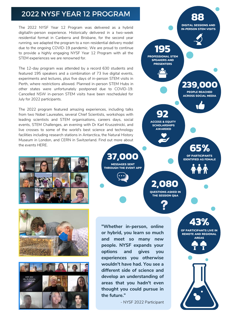#### 2022 NYSF YEAR 12 PROGRAM

The 2022 NYSF Year 12 Program was delivered as a hybrid digital/in-person experience. Historically delivered in a two-week residential format in Canberra and Brisbane, for the second year running, we adapted the program to a non-residential delivery model due to the ongoing COVID-19 pandemic. We are proud to continue to provide a highly engaging NYSF Year 12 Program with all the STEM experiences we are renowned for.

The 12-day program was attended by a record 630 students and featured 195 speakers and a combination of 73 live digital events, experiments and lectures, plus five days of in-person STEM visits in Perth, where restrictions allowed. Planned in-person STEM Hubs in other states were unfortunately postponed due to COVID-19. Cancelled NSW in-person STEM visits have been rescheduled for July for 2022 participants.

The 2022 program featured amazing experiences, including talks from two Nobel Laureates, several Chief Scientists, workshops with leading scientists and STEM organisations, careers days, social events, STEM Challenges, an evening with Dr Karl Kruszelnicki, and live crosses to some of the world's best science and technology facilities including research stations in Antarctica, the Natural History Museum in London, and CERN in Switzerland. Find out more about the events [HERE](https://www.nysf.edu.au/news/).







**92** ACCESS & EQUITY **SCHOLARSHIPS** AWARDED **43%** OF PARTICIPANTS LIVE IN REMOTE AND REGIONAL AREAS **65%** OF PARTICIPANTS IDENTIFIED AS FEMALE **239,000 195**<br>PROFESSIONAL STEM **88** SPEAKERS AND **PRESENTERS** DIGITAL SESSIONS AND IN-PERSON STEM VISITS PEOPLE REACHED ACROSS SOCIAL MEDIA **37,000 2,080** THROUGH THE EVENT APP QUESTIONS ASKED IN THE SESSION Q&A **"Whether in-person, online or hybrid, you learn so much and meet so many new people. NYSF expands your options and gives you experiences you otherwise wouldn't have had. You see a different side of science and**

- NYSF 2022 Participant

**develop an understanding of areas that you hadn't even thought you could pursue in**

**the future."**

MESSAGES SENT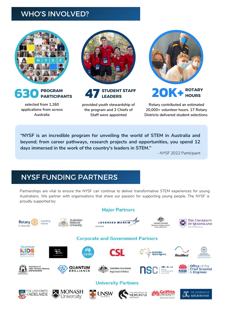#### WHO'S INVOLVED?





**selected from 1,260 applications from across Australia**



**STUDENT STAFF**

**provided youth stewardship of the program and 3 Chiefs of Staff were appointed**



**LEADERS 20K+ ROTARY HOURS**

> **Rotary contributed an estimated 20,000+ volunteer hours. 17 Rotary Districts delivered student selections**

**"NYSF is an incredible program for unveiling the world of STEM in Australia and beyond; from career pathways, research projects and opportunities, you spend 12 days immersed in the work of the country's leaders in STEM."**

- NYSF 2022 Participant

### NYSF FUNDING PARTNERS

Partnerships are vital to ensure the NYSF can continue to deliver transformative STEM experiences for young Australians. We partner with organisations that share our passion for supporting young people. The NYSF is proudly supported by:

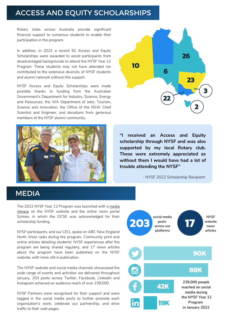#### ACCESS AND EQUITY SCHOLARSHIPS

Rotary clubs across Australia provide significant financial support to numerous students to enable their participation in the program.

In addition, in 2022 a record 92 Access and Equity Scholarships were awarded to assist participants from disadvantaged backgrounds to attend the NYSF Year 12 Program. These students may not have attended nor contributed to the extensive diversity of NYSF students and alumni network without this support.

NYSF Access and Equity Scholarships were made possible thanks to funding from the Australian Government's Department for Industry, Science, Energy and Resources, the WA Department of Jobs, Tourism, Science and Innovation, the Office of the NSW Chief Scientist and Engineer, and donations from generous members of the NYSF alumni community.





**"I received an Access and Equity scholarship through NYSF and was also supported by my local Rotary club. These were extremely appreciated as without them I would have had a lot of trouble attending the NYSF"**

- NYSF 2022 Scholarship Recipient

#### MEDIA

The 2022 NYSF Year 12 Program was [launched](https://www.scimex.org/newsfeed/record-numbers-to-attend-australias-flagship-stem-youth-experience-in-january-2022) with a media release on the NYSF website and the online news portal Scimex, in which the OCSE was acknowledged for their scholarship funding.

NYSF participants, and our CEO, spoke on ABC New England North West radio during the program. Community print and online articles detailing students' NYSF experiences after the program are being shared regularly, and 17 news articles about the program have been published on the NYSF website, with more still in publication.

The NYSF website and social media channels showcased the wide range of events and activities we delivered throughout January. 203 posts across Twitter, Facebook, LinkedIn and Instagram achieved an audience reach of over 239,000.

NYSF Partners were recognised for their support and were tagged in the social media posts to further promote each organisation's work, celebrate our partnership, and drive traffic to their web pages.

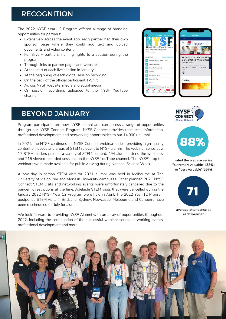#### **RECOGNITION**

The 2022 NYSF Year 12 Program offered a range of branding opportunities for partners:

- Extensively across the event app, each partner had their own sponsor page where they could add text and upload documents and video content
- For Silver+ partners, naming rights to a session during the program
- Through links to partner pages and websites
- At the start of each live session in January
- At the beginning of each digital session recording
- On the back of the official participant T-Shirt
- Across NYSF website, media and social media
- On session recordings uploaded to the NYSF YouTube channel

## BEYOND JANUARY

Program participants are now NYSF alumni and can access a range of opportunities through our NYSF Connect Program. NYSF Connect provides resources, information, professional development, and networking opportunities to our 14,000+ alumni.

In 2021, the NYSF continued its NYSF Connect webinar series, providing high-quality content on issues and areas of STEM relevant to NYSF alumni. The webinar series saw 17 STEM leaders present a variety of STEM content, 494 alumni attend the webinars, and 215 viewed recorded sessions on the NYSF YouTube channel. The NYSF's top ten webinars were made available for public viewing during National Science Week.

A two-day in-person STEM visit for 2021 alumni was held in Melbourne at The University of Melbourne and Monash University campuses. Other planned 2021 NYSF Connect STEM visits and networking events were unfortunately cancelled due to the pandemic restrictions at the time. Adelaide STEM visits that were cancelled during the January 2022 NYSF Year 12 Program were held in April. The 2022 Year 12 Program postponed STEM visits in Brisbane, Sydney, Newcastle, Melbourne and Canberra have been rescheduled for July for alumni.

We look forward to providing NYSF Alumni with an array of opportunities throughout 2022, including the continuation of the successful webinar series, networking events, professional development and more.







**rated the webinar series "extremely valuable" (33%) or "very valuable"(55%)**



**average attendance at each webinar**

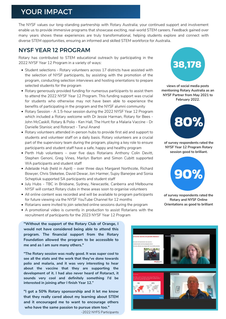#### YOUR IMPACT

The NYSF values our long-standing partnership with Rotary Australia; your continued support and involvement enable us to provide immersive programs that showcase exciting, real-world STEM careers. Feedback gained over many years shows these experiences are truly transformational, helping students explore and connect with diverse STEM opportunities, ensuring an informed and skilled STEM workforce for Australia.

#### NYSF YEAR 12 PROGRAM

Rotary has contributed to STEM educational outreach by participating in the 2022 NYSF Year 12 Program in a variety of ways:

- Student selections Rotary volunteers across 17 districts have assisted with the selection of NYSF participants, by assisting with the promotion of the program, conducting selection interviews and hosting orientations to prepare selected students for the program
- Rotary generously provided funding for numerous participants to assist them to attend the 2022 NYSF Year 12 Program. This funding support was crucial for students who otherwise may not have been able to experience the benefits of participating in the program and the NYSF alumni community
- Rotary Session A 1.5-hour session during the 2022 NYSF Year 12 Program which included a Rotary welcome with Dr Jessie Harman, Rotary for Bees - John McCaskill, Rotary & Polio - Ken Hall, The Hunt for a Malaria Vaccine - Dr Danielle Stanisic and Rotoract - Tanul Anand
- Rotary volunteers attended in-person hubs to provide first aid and support to students and volunteer staff on a daily basis. Rotary volunteers are a crucial part of the supervisory team during the program, playing a key role to ensure participants and student staff have a safe, happy and healthy program
- Perth Hub volunteers over five days Rotarians Anthony Colin Devitt, Stephen Genoni, Greg Vines, Marilyn Barton and Simon Cubitt supported WA participants and student staff
- Adelaide Hub (held in April) over three days Margaret Northcote, Richard Bowyer, Chris Steketee, David Dewar, Jon Harmer, Sujoy Banerjee and Sonia Scheptiuk supported SA participants and student staff
- July Hubs TBC in Brisbane, Sydney, Newcastle, Canberra and Melbourne NYSF will contact Rotary clubs in these areas soon to organise volunteers
- All online content was recorded and will be available to program participants for future viewing via the NYSF YouTube Channel for 12 months
- Rotarians were invited to join selected online sessions during the program
- A promotional video is currently in production to assist Rotarians with the recruitment of participants for the 2023 NYSF Year 12 Program

**"Without the support of the Rotary Club of Orange, I would not have considered being able to attend this program. The financial support from the Rotary Foundation allowed the program to be accessible to me and as I am sure many others."**

**"The Rotary session was really good. It was super cool to see all the stats and the work that they've done towards polio and malaria, and it was very interesting to hear about the vaccine that they are supporting the development of it. I had also never heard of Rotaract, it sounds very cool and definitely something I'd be interested in joining after I finish Year 12."**

**"I got a 50% Rotary sponsorship and it let me know that they really cared about my learning about STEM and it encouraged me to want to encourage others who have the same passion to pursue stem too."**

-2022 NYFS Participants



**views of social media posts mentioning Rotary Australia as an NYSF Partner from May 2021 to February 2022.**



**of survey respondents rated the NYSF Year 12 Program Rotary session good to brilliant.**



**of survey respondents rated the Rotary and NYSF Online Orientations as good to brilliant**